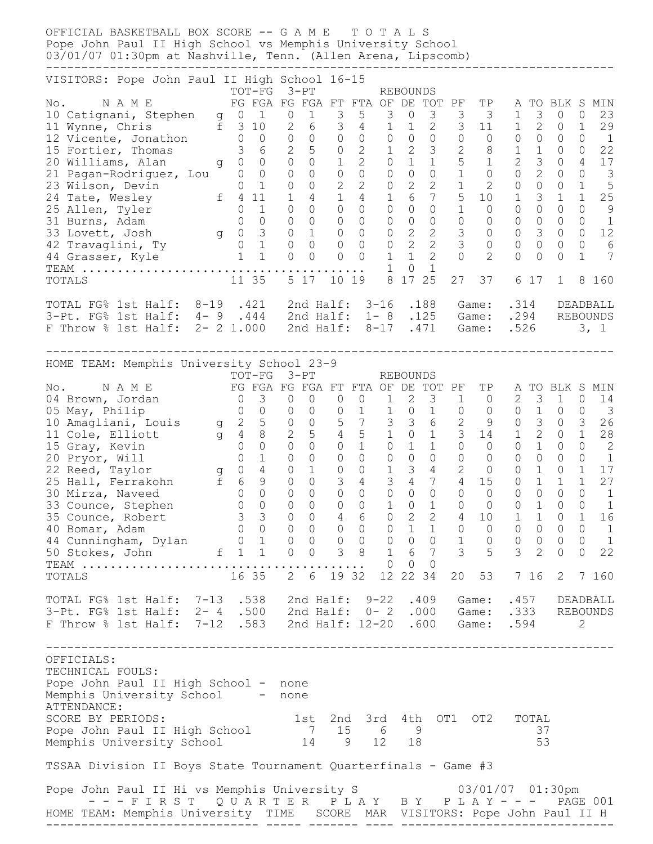OFFICIAL BASKETBALL BOX SCORE -- G A M E T O T A L S Pope John Paul II High School vs Memphis University School 03/01/07 01:30pm at Nashville, Tenn. (Allen Arena, Lipscomb) -------------------------------------------------------------------------------- VISITORS: Pope John Paul II High School 16-15 TOT-FG 3-PT REBOUNDS No. N A M E FG FGA FG FGA FT FTA OF DE TOT PF TP A TO BLK S MIN 10 Catignani, Stephen g 0 1 0 1 3 5 3 0 3 3 3 1 3 0 0 23 11 Wynne, Chris f 3 10 2 6 3 4 1 1 2 3 11 1 2 0 1 29 12 Vicente, Jonathon 0 0 0 0 0 0 0 0 0 0 0 0 0 0 0 1 15 Fortier, Thomas 3 6 2 5 0 2 1 2 3 2 8 1 1 0 0 22 20 Williams, Alan g 0 0 0 0 1 2 0 1 1 5 1 2 3 0 4 17 21 Pagan-Rodriguez, Lou 0 0 0 0 0 0 0 0 0 1 0 0 2 0 0 3 23 Wilson, Devin 0 1 0 0 2 2 0 2 2 1 2 0 0 0 1 5 24 Tate, Wesley f 4 11 1 4 1 4 1 6 7 5 10 1 3 1 1 25 25 Allen, Tyler 0 1 0 0 0 0 0 0 0 1 0 0 0 0 0 9 31 Burns, Adam 0 0 0 0 0 0 0 0 0 0 0 0 0 0 0 1 33 Lovett, Josh g 0 3 0 1 0 0 0 2 2 3 0 0 3 0 0 12 42 Travaglini, Ty 0 1 0 0 0 0 0 2 2 3 0 0 0 0 0 6 44 Grasser, Kyle 1 1 0 0 0 0 1 1 2 0 2 0 0 0 1 7 TEAM ........................................ 1 0 1 TOTALS 11 35 5 17 10 19 8 17 25 27 37 6 17 1 8 160 TOTAL FG% 1st Half: 8-19 .421 2nd Half: 3-16 .188 Game: .314 DEADBALL 3-Pt. FG% 1st Half: 4- 9 .444 2nd Half: 1- 8 .125 Game: .294 REBOUNDS F Throw % 1st Half: 2- 2 1.000 2nd Half: 8-17 .471 Game: .526 3, 1 -------------------------------------------------------------------------------- HOME TEAM: Memphis University School 23-9 TOT-FG 3-PT REBOUNDS No. N A M E FG FGA FG FGA FT FTA OF DE TOT PF TP A TO BLK S MIN 04 Brown, Jordan 0 3 0 0 0 0 1 2 3 1 0 2 3 1 0 14 05 May, Philip 0 0 0 0 0 1 1 0 1 0 0 0 1 0 0 3 10 Amagliani, Louis g 2 5 0 0 5 7 3 3 6 2 9 0 3 0 3 26 11 Cole, Elliott g 4 8 2 5 4 5 1 0 1 3 14 1 2 0 1 28 15 Gray, Kevin 0 0 0 0 0 0 1 0 1 1 0 0 0 1 0 0 2 20 Pryor, Will 0 1 0 0 0 0 0 0 0 0 0 0 0 0 0 1 22 Reed, Taylor g 0 4 0 1 0 0 1 3 4 2 0 0 1 0 1 17 25 Hall, Ferrakohn f 6 9 0 0 3 4 3 4 7 4 15 0 1 1 1 27 30 Mirza, Naveed 0 0 0 0 0 0 0 0 0 0 0 0 0 0 0 1 33 Counce, Stephen 0 0 0 0 0 0 1 0 1 0 0 0 1 0 0 1 35 Counce, Robert 3 3 0 0 4 6 0 2 2 4 10 1 1 0 1 16 40 Bomar, Adam 0 0 0 0 0 0 0 1 1 0 0 0 0 0 0 1 44 Cunningham, Dylan 0 1 0 0 0 0 0 0 0 1 0 0 0 0 0 1 50 Stokes, John f 1 1 0 0 3 8 1 6 7 3 5 3 2 0 0 22 TEAM ........................................ 0 0 0 TOTALS 16 35 2 6 19 32 12 22 34 20 53 7 16 2 7 160 TOTAL FG% 1st Half: 7-13 .538 2nd Half: 9-22 .409 Game: .457 DEADBALL 3-Pt. FG% 1st Half: 2- 4 .500 2nd Half: 0- 2 .000 Game: .333 REBOUNDS F Throw % 1st Half: 7-12 .583 2nd Half: 12-20 .600 Game: .594 2 -------------------------------------------------------------------------------- OFFICIALS: TECHNICAL FOULS: Pope John Paul II High School - none Memphis University School - none ATTENDANCE: SCORE BY PERIODS:  $1st$  2nd 3rd 4th OT1 OT2 TOTAL Pope John Paul II High School 7 15 6 9 37 Memphis University School 14 9 12 18 53 TSSAA Division II Boys State Tournament Quarterfinals - Game #3 Pope John Paul II Hi vs Memphis University S 63/01/07 01:30pm - - - F I R S T Q U A R T E R P L A Y B Y P L A Y - - - PAGE 001 HOME TEAM: Memphis University TIME SCORE MAR VISITORS: Pope John Paul II H ------------------------------ ----- ------- ---- ------------------------------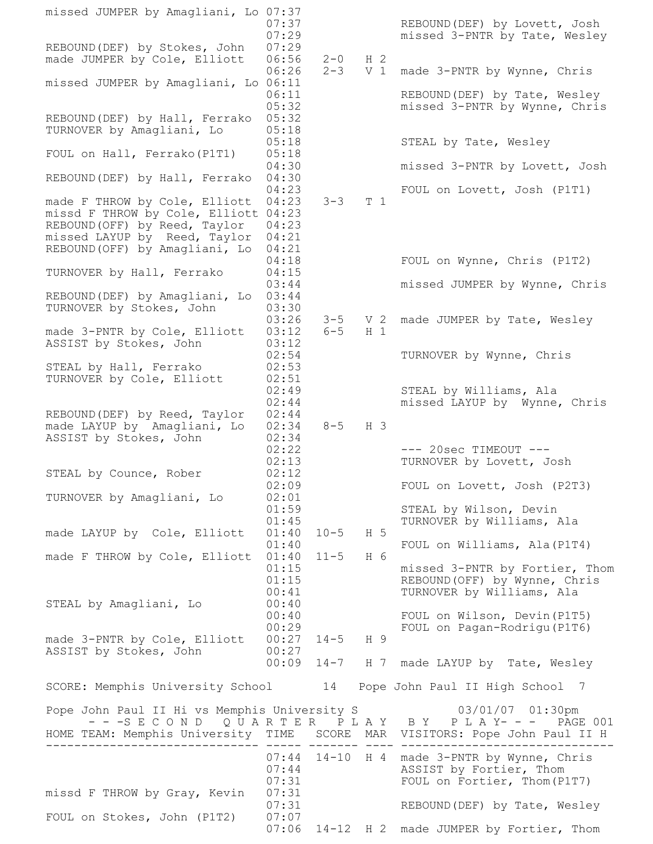missed JUMPER by Amagliani, Lo 07:37 07:37 REBOUND(DEF) by Lovett, Josh 07:29 missed 3-PNTR by Tate, Wesley REBOUND(DEF) by Stokes, John 07:29 made JUMPER by Cole, Elliott 06:56 2-0 H 2 06:26 2-3 V 1 made 3-PNTR by Wynne, Chris missed JUMPER by Amagliani, Lo 06:11 06:11 REBOUND(DEF) by Tate, Wesley 05:32 missed 3-PNTR by Wynne, Chris REBOUND(DEF) by Hall, Ferrako 05:32 TURNOVER by Amagliani, Lo 05:18 05:18 STEAL by Tate, Wesley FOUL on Hall, Ferrako(P1T1) 05:18 04:30 missed 3-PNTR by Lovett, Josh REBOUND(DEF) by Hall, Ferrako 04:30 04:23 FOUL on Lovett, Josh (P1T1) made F THROW by Cole, Elliott 04:23 3-3 T 1 missd F THROW by Cole, Elliott 04:23 REBOUND(OFF) by Reed, Taylor 04:23 missed LAYUP by Reed, Taylor 04:21 REBOUND(OFF) by Amagliani, Lo 04:21 04:18 FOUL on Wynne, Chris (P1T2) TURNOVER by Hall, Ferrako 04:15 03:44 missed JUMPER by Wynne, Chris REBOUND(DEF) by Amagliani, Lo 03:44 TURNOVER by Stokes, John 03:30 03:26 3-5 V 2 made JUMPER by Tate, Wesley made 3-PNTR by Cole, Elliott 03:12 6-5 H 1 ASSIST by Stokes, John 03:12 02:54 TURNOVER by Wynne, Chris STEAL by Hall, Ferrako  $02:53$ TURNOVER by Cole, Elliott 02:51 02:49 STEAL by Williams, Ala 02:44 missed LAYUP by Wynne, Chris REBOUND(DEF) by Reed, Taylor 02:44 made LAYUP by Amagliani, Lo 02:34 8-5 H 3 ASSIST by Stokes, John 02:34 02:22 --- 20sec TIMEOUT ---02:13 TURNOVER by Lovett, Josh STEAL by Counce, Rober 02:12 02:09 FOUL on Lovett, Josh (P2T3) TURNOVER by Amagliani, Lo 02:01 01:59 STEAL by Wilson, Devin 01:45 TURNOVER by Williams, Ala made LAYUP by Cole, Elliott 01:40 10-5 H 5 01:40 FOUL on Williams, Ala (P1T4) made F THROW by Cole, Elliott 01:40 11-5 H 6 01:15 missed 3-PNTR by Fortier, Thom 01:15 REBOUND(OFF) by Wynne, Chris 00:41 TURNOVER by Williams, Ala STEAL by Amagliani, Lo  $00:40$ 00:40 FOUL on Wilson, Devin (P1T5) 00:29 FOUL on Pagan-Rodrigu(P1T6) made 3-PNTR by Cole, Elliott 00:27 14-5 H 9 ASSIST by Stokes, John 00:27 00:09 14-7 H 7 made LAYUP by Tate, Wesley SCORE: Memphis University School 14 Pope John Paul II High School 7 Pope John Paul II Hi vs Memphis University S 03/01/07 01:30pm - - -S E C O N D Q U A R T E R P L A Y B Y P L A Y- - - PAGE 001 HOME TEAM: Memphis University TIME SCORE MAR VISITORS: Pope John Paul II H ------------------------------ ----- ------- ---- ------------------------------ 07:44 14-10 H 4 made 3-PNTR by Wynne, Chris 07:44 ASSIST by Fortier, Thom 07:31 FOUL on Fortier, Thom(P1T7) missd F THROW by Gray, Kevin 07:31 07:31 REBOUND(DEF) by Tate, Wesley FOUL on Stokes, John (P1T2) 07:07 07:06 14-12 H 2 made JUMPER by Fortier, Thom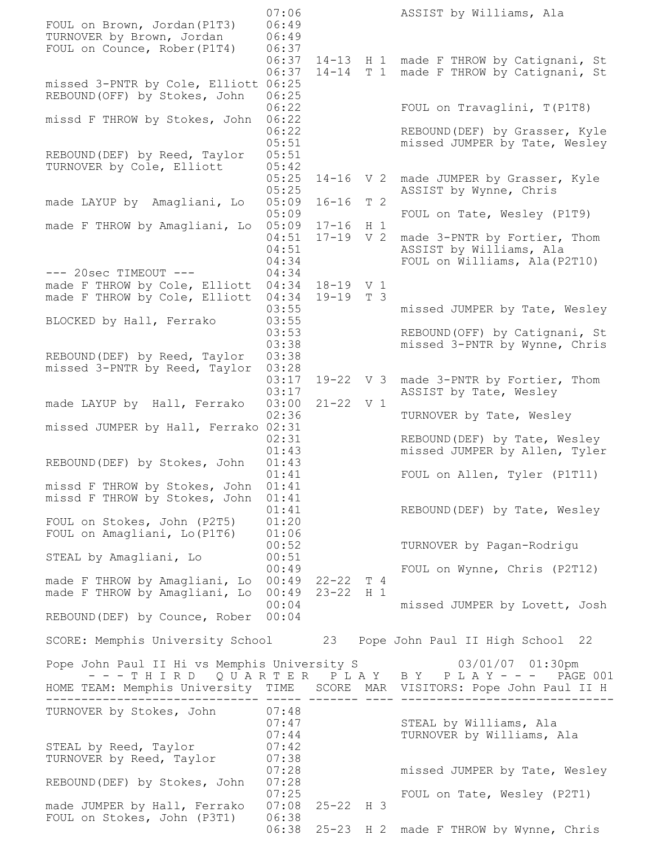07:06 ASSIST by Williams, Ala FOUL on Brown, Jordan(P1T3) 06:49 TURNOVER by Brown, Jordan 06:49 FOUL on Counce, Rober(P1T4) 06:37 06:37 14-13 H 1 made F THROW by Catignani, St 06:37 14-14 T 1 made F THROW by Catignani, St missed 3-PNTR by Cole, Elliott 06:25 REBOUND(OFF) by Stokes, John 06:25 06:22 FOUL on Travaglini, T(P1T8) missd F THROW by Stokes, John 06:22 06:22 REBOUND(DEF) by Grasser, Kyle 05:51 **missed JUMPER by Tate, Wesley** REBOUND(DEF) by Reed, Taylor 05:51 TURNOVER by Cole, Elliott 05:42 05:25 14-16 V 2 made JUMPER by Grasser, Kyle 05:25 ASSIST by Wynne, Chris made LAYUP by Amagliani, Lo 05:09 16-16 T 2 05:09 FOUL on Tate, Wesley (P1T9) made F THROW by Amagliani, Lo 05:09 17-16 H 1 04:51 17-19 V 2 made 3-PNTR by Fortier, Thom 04:51 ASSIST by Williams, Ala 04:34 FOUL on Williams, Ala(P2T10) --- 20sec TIMEOUT --- 04:34 made F THROW by Cole, Elliott 04:34 18-19 V 1 made F THROW by Cole, Elliott 04:34 19-19 T 3 03:55 missed JUMPER by Tate, Wesley BLOCKED by Hall, Ferrako 03:55 03:53 REBOUND (OFF) by Catignani, St 03:38 missed 3-PNTR by Wynne, Chris REBOUND(DEF) by Reed, Taylor 03:38 missed 3-PNTR by Reed, Taylor 03:28 03:17 19-22 V 3 made 3-PNTR by Fortier, Thom 03:17 ASSIST by Tate, Wesley made LAYUP by Hall, Ferrako 03:00 21-22 V 1 02:36 TURNOVER by Tate, Wesley missed JUMPER by Hall, Ferrako 02:31 02:31 REBOUND(DEF) by Tate, Wesley 01:43 missed JUMPER by Allen, Tyler REBOUND(DEF) by Stokes, John 01:43 01:41 FOUL on Allen, Tyler (P1T11) missd F THROW by Stokes, John 01:41 missd F THROW by Stokes, John 01:41 01:41 REBOUND(DEF) by Tate, Wesley FOUL on Stokes, John (P2T5) 01:20 FOUL on Amagliani, Lo(P1T6) 01:06 00:52 TURNOVER by Pagan-Rodrigu STEAL by Amagliani, Lo  $00:51$  00:49 FOUL on Wynne, Chris (P2T12) made F THROW by Amagliani, Lo 00:49 22-22 T 4 made F THROW by Amagliani, Lo 00:49 23-22 H 1 00:04 missed JUMPER by Lovett, Josh REBOUND(DEF) by Counce, Rober 00:04 SCORE: Memphis University School 23 Pope John Paul II High School 22 Pope John Paul II Hi vs Memphis University S 03/01/07 01:30pm  $- - -$  T H I R D Q U A R T E R P L A Y B Y P L A Y  $- -$  - PAGE 001 HOME TEAM: Memphis University TIME SCORE MAR VISITORS: Pope John Paul II H ------------------------------ ----- ------- ---- ------------------------------ TURNOVER by Stokes, John 07:48 07:47 STEAL by Williams, Ala 07:44 TURNOVER by Williams, Ala STEAL by Reed, Taylor 07:42 TURNOVER by Reed, Taylor 07:38 07:28 missed JUMPER by Tate, Wesley REBOUND(DEF) by Stokes, John 07:28 07:25 FOUL on Tate, Wesley (P2T1) made JUMPER by Hall, Ferrako 07:08 25-22 H 3 FOUL on Stokes, John (P3T1) 06:38 06:38 25-23 H 2 made F THROW by Wynne, Chris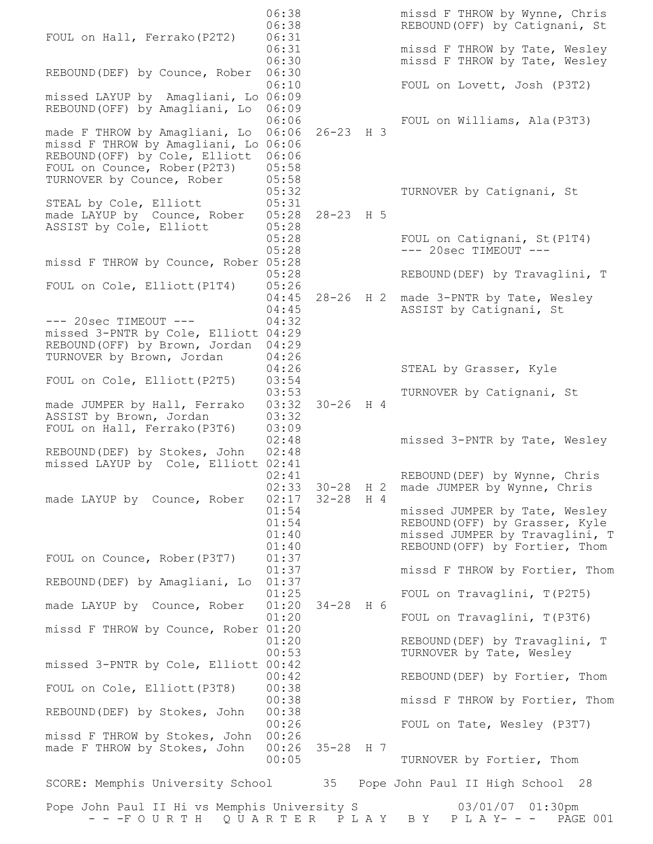06:38 missd F THROW by Wynne, Chris 06:38 REBOUND(OFF) by Catignani, St FOUL on Hall, Ferrako(P2T2) 06:31 06:31 missd F THROW by Tate, Wesley 06:30 missd F THROW by Tate, Wesley REBOUND(DEF) by Counce, Rober 06:30 06:10 FOUL on Lovett, Josh (P3T2) missed LAYUP by Amagliani, Lo 06:09 REBOUND(OFF) by Amagliani, Lo 06:09 06:06 FOUL on Williams, Ala(P3T3) made F THROW by Amagliani, Lo 06:06 26-23 H 3 missd F THROW by Amagliani, Lo 06:06 REBOUND(OFF) by Cole, Elliott 06:06 FOUL on Counce, Rober(P2T3) 05:58 TURNOVER by Counce, Rober 05:58 05:32 TURNOVER by Catignani, St STEAL by Cole, Elliott 05:31 made LAYUP by Counce, Rober 05:28 28-23 H 5 ASSIST by Cole, Elliott 05:28 05:28 FOUL on Catignani, St (P1T4) 05:28 --- 20sec TIMEOUT --missd F THROW by Counce, Rober 05:28 05:28 REBOUND(DEF) by Travaglini, T FOUL on Cole, Elliott(P1T4) 05:26 04:45 28-26 H 2 made 3-PNTR by Tate, Wesley 04:45 ASSIST by Catignani, St --- 20sec TIMEOUT --- 04:32 missed 3-PNTR by Cole, Elliott 04:29 REBOUND(OFF) by Brown, Jordan 04:29 TURNOVER by Brown, Jordan 04:26 04:26 STEAL by Grasser, Kyle FOUL on Cole, Elliott(P2T5) 03:54 03:53 TURNOVER by Catignani, St made JUMPER by Hall, Ferrako 03:32 30-26 H 4 ASSIST by Brown, Jordan 03:32 FOUL on Hall, Ferrako(P3T6) 03:09 02:48 missed 3-PNTR by Tate, Wesley REBOUND(DEF) by Stokes, John 02:48 missed LAYUP by Cole, Elliott 02:41 02:41 REBOUND(DEF) by Wynne, Chris 02:33 30-28 H 2 made JUMPER by Wynne, Chris made LAYUP by Counce, Rober 02:17 32-28 H 4 01:54 missed JUMPER by Tate, Wesley 01:54 REBOUND(OFF) by Grasser, Kyle 01:40 missed JUMPER by Travaglini, T 01:40 REBOUND(OFF) by Fortier, Thom FOUL on Counce, Rober(P3T7) 01:37 01:37 missd F THROW by Fortier, Thom REBOUND(DEF) by Amagliani, Lo 01:37 01:25 FOUL on Travaglini, T(P2T5) made LAYUP by Counce, Rober 01:20 34-28 H 6 01:20 FOUL on Travaglini, T (P3T6) missd F THROW by Counce, Rober 01:20 01:20 REBOUND(DEF) by Travaglini, T 00:53 TURNOVER by Tate, Wesley missed 3-PNTR by Cole, Elliott 00:42 00:42 REBOUND(DEF) by Fortier, Thom FOUL on Cole, Elliott(P3T8) 00:38 00:38 missd F THROW by Fortier, Thom REBOUND(DEF) by Stokes, John 00:38 00:26 FOUL on Tate, Wesley (P3T7) missd F THROW by Stokes, John 00:26 made F THROW by Stokes, John 00:26 35-28 H 7 00:05 TURNOVER by Fortier, Thom SCORE: Memphis University School 35 Pope John Paul II High School 28 Pope John Paul II Hi vs Memphis University S 03/01/07 01:30pm - - -F O U R T H Q U A R T E R P L A Y B Y P L A Y- - - PAGE 001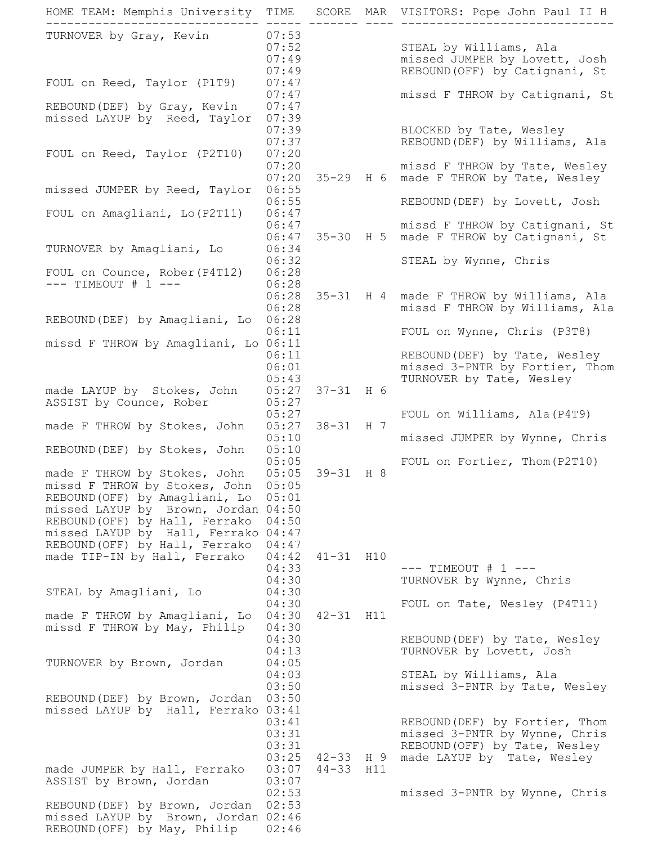HOME TEAM: Memphis University TIME SCORE MAR VISITORS: Pope John Paul II H ------------------------------ ----- ------- ---- ------------------------------ TURNOVER by Gray, Kevin 07:53 07:52 STEAL by Williams, Ala 07:49 missed JUMPER by Lovett, Josh 07:49 REBOUND(OFF) by Catignani, St FOUL on Reed, Taylor (P1T9) 07:47 07:47 missd F THROW by Catignani, St REBOUND(DEF) by Gray, Kevin 07:47 missed LAYUP by Reed, Taylor 07:39 07:39 BLOCKED by Tate, Wesley 07:37 REBOUND(DEF) by Williams, Ala FOUL on Reed, Taylor (P2T10) 07:20 07:20 missd F THROW by Tate, Wesley 07:20 35-29 H 6 made F THROW by Tate, Wesley missed JUMPER by Reed, Taylor 06:55 06:55 REBOUND(DEF) by Lovett, Josh FOUL on Amagliani, Lo(P2T11) 06:47 06:47 missd F THROW by Catignani, St 06:47 35-30 H 5 made F THROW by Catignani, St TURNOVER by Amagliani, Lo 06:34 06:32 STEAL by Wynne, Chris FOUL on Counce, Rober(P4T12) 06:28 --- TIMEOUT # 1 --- 06:28 06:28 35-31 H 4 made F THROW by Williams, Ala 06:28 missd F THROW by Williams, Ala REBOUND(DEF) by Amagliani, Lo 06:28 06:11 FOUL on Wynne, Chris (P3T8) missd F THROW by Amagliani, Lo 06:11 06:11 REBOUND(DEF) by Tate, Wesley 06:01 missed 3-PNTR by Fortier, Thom 05:43 TURNOVER by Tate, Wesley made LAYUP by Stokes, John 05:27 37-31 H 6 ASSIST by Counce, Rober 05:27 05:27 FOUL on Williams, Ala(P4T9) made F THROW by Stokes, John 05:27 38-31 H 7 05:10 missed JUMPER by Wynne, Chris REBOUND(DEF) by Stokes, John 05:10 05:05 FOUL on Fortier, Thom(P2T10) made F THROW by Stokes, John 05:05 39-31 H 8 missd F THROW by Stokes, John 05:05 REBOUND(OFF) by Amagliani, Lo 05:01 missed LAYUP by Brown, Jordan 04:50 REBOUND(OFF) by Hall, Ferrako 04:50 missed LAYUP by Hall, Ferrako 04:47 REBOUND(OFF) by Hall, Ferrako 04:47 made TIP-IN by Hall, Ferrako 04:42 41-31 H10 04:33 --- TIMEOUT # 1 ---04:30 TURNOVER by Wynne, Chris STEAL by Amagliani, Lo 04:30 04:30 FOUL on Tate, Wesley (P4T11) made F THROW by Amagliani, Lo 04:30 42-31 H11 missd F THROW by May, Philip 04:30 04:30 REBOUND(DEF) by Tate, Wesley 04:13 TURNOVER by Lovett, Josh TURNOVER by Brown, Jordan 04:05 04:03 STEAL by Williams, Ala 03:50 missed 3-PNTR by Tate, Wesley REBOUND(DEF) by Brown, Jordan 03:50 missed LAYUP by Hall, Ferrako 03:41 03:41 REBOUND(DEF) by Fortier, Thom 03:31 missed 3-PNTR by Wynne, Chris 03:31 REBOUND(OFF) by Tate, Wesley  $03:25$  42-33 H 9 made LAYUP by Tate, Wesley made JUMPER by Hall, Ferrako 03:07 44-33 H11 ASSIST by Brown, Jordan 03:07 02:53 missed 3-PNTR by Wynne, Chris REBOUND(DEF) by Brown, Jordan 02:53 missed LAYUP by Brown, Jordan 02:46 REBOUND(OFF) by May, Philip 02:46